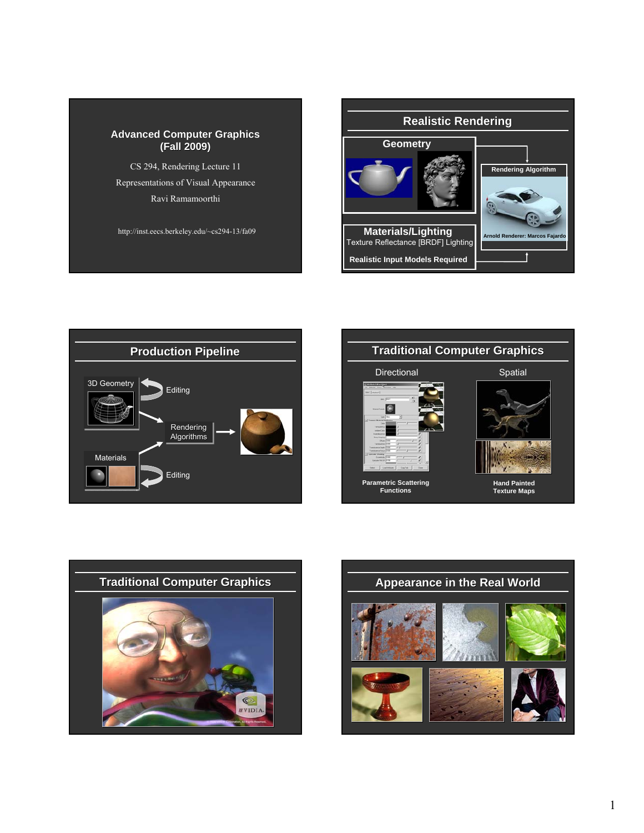#### **Advanced Computer Graphics (Fall 2009) (Fall 2009)**

CS 294, Rendering Lecture 11 Representations of Visual Appearance Ravi Ramamoorthi

http://inst.eecs.berkeley.edu/~cs294-13/fa09









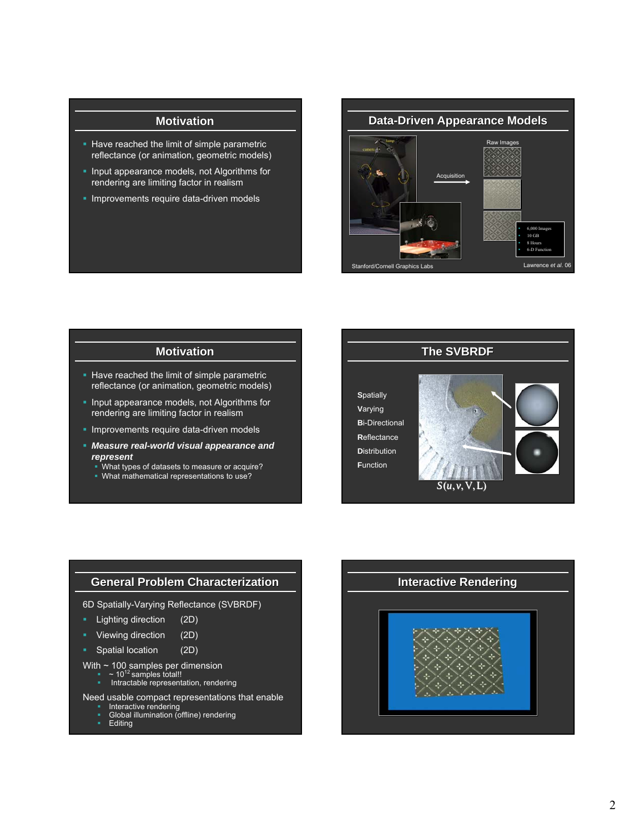### **Motivation**

- Have reached the limit of simple parametric reflectance (or animation, geometric models)
- **Input appearance models, not Algorithms for** rendering are limiting factor in realism
- **Improvements require data-driven models**



#### **Motivation**

- Have reached the limit of simple parametric reflectance (or animation, geometric models)
- **Input appearance models, not Algorithms for** rendering are limiting factor in realism
- **Improvements require data-driven models**
- *Measure real-world visual appearance and represent*
	- What types of datasets to measure or acquire?
	- What mathematical representations to use?



#### **General Problem Characterization**

- 6D Spatially-Varying Reflectance (SVBRDF)
- Lighting direction (2D)
- Viewing direction (2D)
- Spatial location (2D)
- With  $\sim$  100 samples per dimension
	- $\sim$  10<sup>12</sup> samples total!! Intractable representation, rendering
	-
- Need usable compact representations that enable
	- **Interactive rendering<br>Interactive rendering**<br>Global illumination (offline) rendering
	- **Editing**

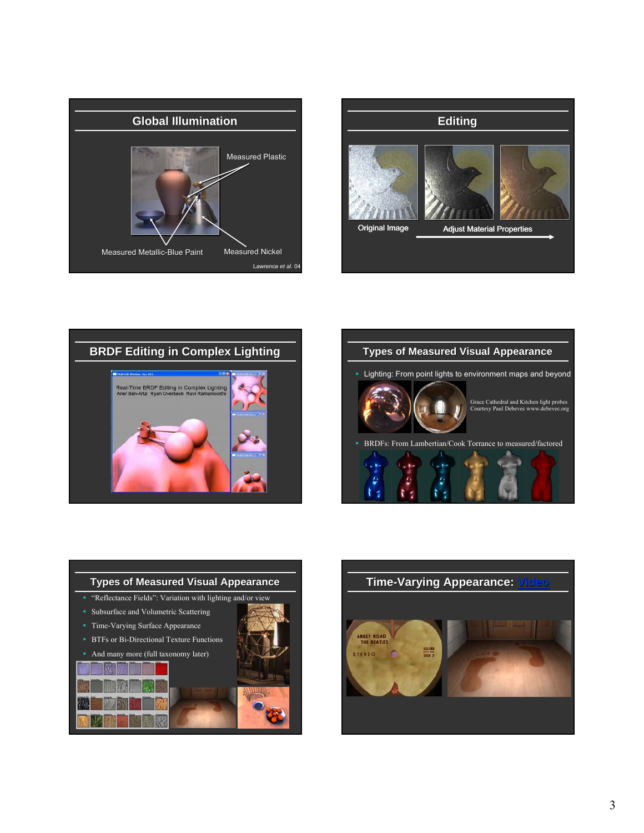









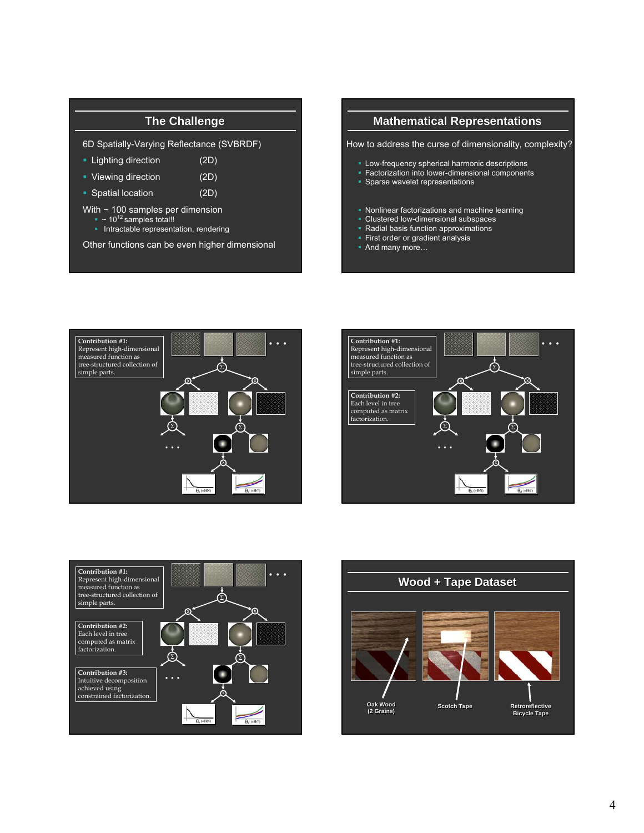## **The Challenge**

6D Spatially-Varying Reflectance (SVBRDF)

- Lighting direction (2D)
- Viewing direction (2D)
- Spatial location (2D)
- With ~ 100 samples per dimension
	- $\sim$  10<sup>12</sup> samples total!!
	- **Intractable representation, rendering**

Other functions can be even higher dimensional

## **Mathematical Representations**

How to address the curse of dimensionality, complexity?

- **Low-frequency spherical harmonic descriptions**
- **Factorization into lower-dimensional components**
- **Sparse wavelet representations**
- Nonlinear factorizations and machine learning
- **Clustered low-dimensional subspaces**<br> **Radial basis function approximations**
- Radial basis function approximations
- **First order or gradient analysis**
- And many more…







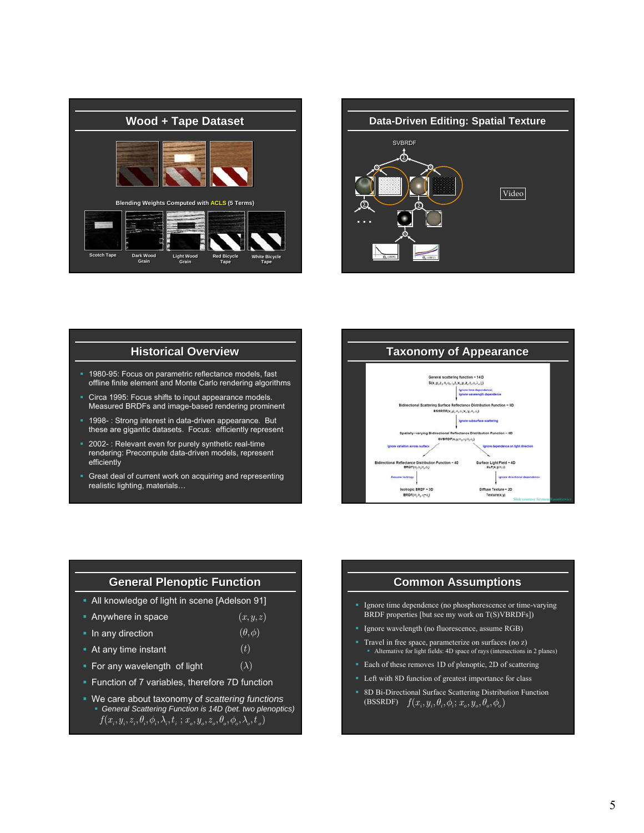



#### **Historical Overview**

- 1980-95: Focus on parametric reflectance models, fast offline finite element and Monte Carlo rendering algorithms
- Circa 1995: Focus shifts to input appearance models. Measured BRDFs and image-based rendering prominent
- 1998- : Strong interest in data-driven appearance. But these are gigantic datasets. Focus: efficiently represent
- 2002- : Relevant even for purely synthetic real-time rendering: Precompute data-driven models, represent efficiently
- Great deal of current work on acquiring and representing realistic lighting, materials…

**Taxonomy of Appearance** ring function = 14 D  ${\sf S}({\sf x}_s{\sf y}_s{\sf z}_r{\sf a}_r{\sf o}_r)_{\sf s}{\sf t}_r{\sf x}_r{\sf y}_r{\sf z}_r{\sf e}_r{\sf o}_r{\sf t}_r{\sf t}_r{\sf t}_r)$ **Ignore time dependent**  $\sim$   $\sim$  $-80$  $\texttt{BSSROF}(x_i, y_i, \theta_i, \theta_i; x_i, y_i, \theta_i, \theta_i)$ **Ignore** si  $\texttt{svBROF}(x,y;\textbf{e}_p\textbf{e}_p^*\textbf{e}_p\textbf{e}_q)$ ace Light Field - 4D<br>SLF(x,y,e,c)  $\sin - 40$ ectano<br>BRDF 628.63 Isotropic BRDF - 3D<br>BRDF( $\Theta_p \Theta_p \Phi_q \pi \phi_i$ ) Slide courtesy Szymon Rusinkiewicz

# **General General Plenoptic Function**

 $(\theta, \phi)$  $(t)$ 

- All knowledge of light in scene [Adelson 91]
- **Anywhere in space**  $(x, y, z)$
- $\blacksquare$  In any direction
- **At any time instant**
- **For any wavelength of light**  $(\lambda)$
- **Function of 7 variables, therefore 7D function**
- We care about taxonomy of *scattering functions General Scattering Function is 14D (bet. two plenoptics)*  $f(x_i, y_i, z_i, \theta_i, \phi_i, \lambda_i, t_i; x_o, y_o, z_o, \theta_o, \phi_o, \lambda_o, t_o)$

#### **Common Assumptions**

- Ignore time dependence (no phosphorescence or time-varying BRDF properties [but see my work on  $T(S)$ VBRDFs])
- **Ignore wavelength (no fluorescence, assume RGB)**
- Travel in free space, parameterize on surfaces (no z) Alternative for light fields: 4D space of rays (intersections in 2 planes)
- Each of these removes 1D of plenoptic, 2D of scattering
- **EXECUTE:** Left with 8D function of greatest importance for class
- 8D Bi-Directional Surface Scattering Distribution Function (BSSRDF)  $f(x_i, y_i, \theta_i, \phi_i; x_o, y_o, \theta_o, \phi_o)$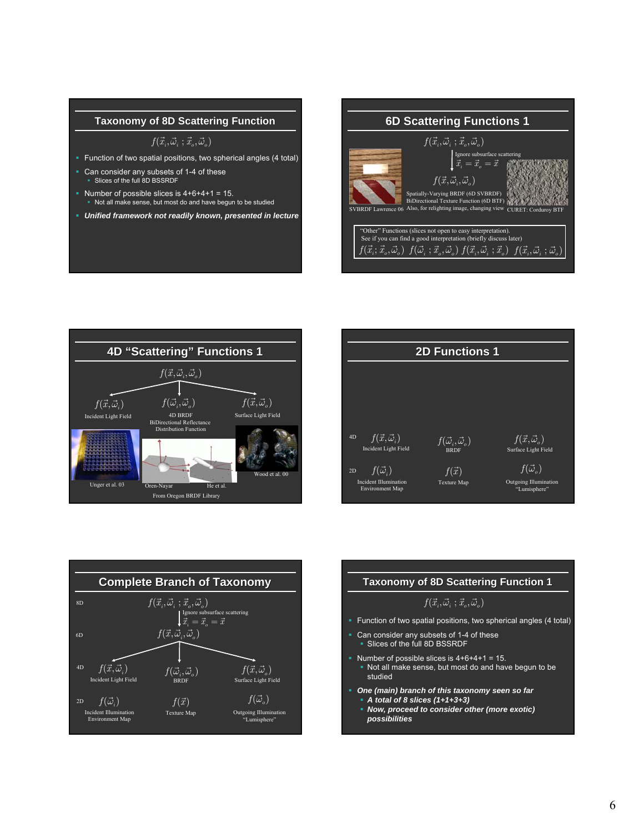#### **Taxonomy of 8D Scattering Function**

 $f(\vec{x}_i, \vec{\omega}_i ; \vec{x}_o, \vec{\omega}_o)$ 

- Function of two spatial positions, two spherical angles (4 total)
- Can consider any subsets of 1-4 of these<br>■ Slices of the full 8D BSSRDF
- Number of possible slices is  $4+6+4+1 = 15$ . Not all make sense, but most do and have begun to be studied
- *Unified framework not readily known, presented in lecture*









# **Taxonomy of 8D Scattering Function 1**

## $f(\vec{x}_i, \vec{\omega}_i ; \vec{x}_o, \vec{\omega}_o)$

- Function of two spatial positions, two spherical angles (4 total)
- **Can consider any subsets of 1-4 of these** Slices of the full 8D BSSRDF
- Number of possible slices is  $4+6+4+1 = 15$ . Not all make sense, but most do and have begun to be studied
- *One (main) branch of this taxonomy seen so far A total of 8 slices (1+1+3+3)*
	- *Now, proceed to consider other (more exotic) possibilities*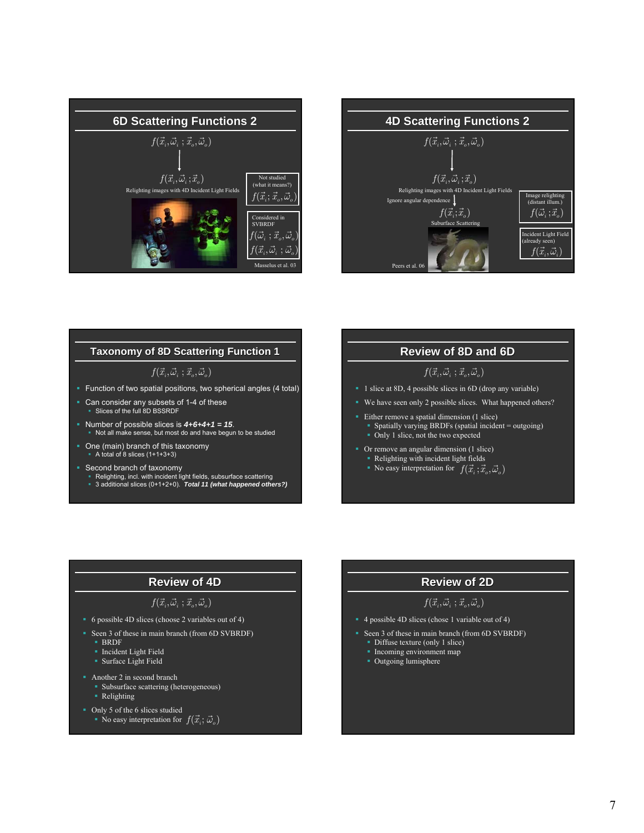



#### **Taxonomy of 8D Scattering Function 1**

#### $f(\vec{x}_i, \vec{\omega}_i; \vec{x}_o, \vec{\omega}_o)$

- Function of two spatial positions, two spherical angles (4 total)
- Can consider any subsets of 1-4 of these<br>■ Slices of the full 8D BSSRDF
- Number of possible slices is  $4+6+4+1=15$ . Not all make sense, but most do and have begun to be studied
- One (main) branch of this taxonomy A total of 8 slices (1+1+3+3)
- 
- Second branch of taxonomy Relighting, incl. with incident light fields, subsurface scattering 3 additional slices (0+1+2+0). *Total 11 (what happened others?)*

## **Review of 8D and 6D**

## $f(\vec{x}_i, \vec{\omega}_i ; \vec{x}_o, \vec{\omega}_o)$

- <sup>1</sup> 1 slice at 8D, 4 possible slices in 6D (drop any variable)
- We have seen only 2 possible slices. What happened others?
- Either remove a spatial dimension (1 slice) Spatially varying BRDFs (spatial incident  $=$  outgoing) • Only 1 slice, not the two expected
- $\overline{\phantom{a}}$  Or remove an angular dimension (1 slice) Relighting with incident light fields
	- Religions with incluent light helds<br>No easy interpretation for  $f(\vec{x}_i; \vec{x}_o, \vec{\omega}_o)$

# **Review of 4D**

#### $f(\vec{x}_i, \vec{\omega}_i; \vec{x}_o, \vec{\omega}_o)$

- 6 possible 4D slices (choose 2 variables out of 4)
- Seen 3 of these in main branch (from 6D SVBRDF)
	- BRDF
	- **Incident Light Field**
	- Surface Light Field
- **Another 2 in second branch** 
	- Subsurface scattering (heterogeneous)
	- Relighting
- Only 5 of the 6 slices studied
	- Inly 5 of the 6 slices studied<br>• No easy interpretation for  $f(\vec{x}_i; \vec{\omega}_o)$

## **Review of 2D**

## $f(\vec{x}_i, \vec{\omega}_i ; \vec{x}_o, \vec{\omega}_o)$

- 4 possible 4D slices (chose 1 variable out of 4)
- Seen 3 of these in main branch (from 6D SVBRDF)
	- **Diffuse texture (only 1 slice)**
	- **Incoming environment map**
	- Outgoing lumisphere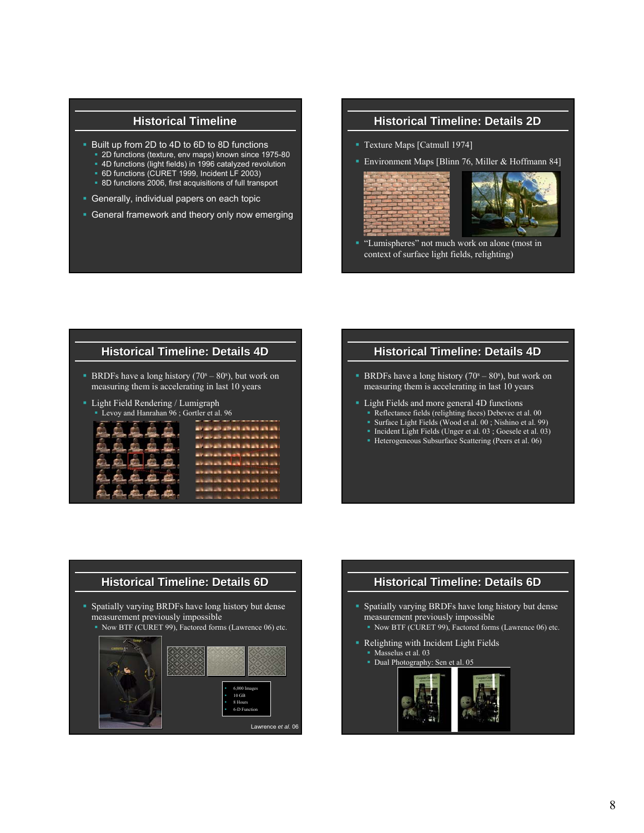# **Historical Timeline**

- **Built up from 2D to 4D to 6D to 8D functions** 
	- 2D functions (texture, env maps) known since 1975-80 4D functions (light fields) in 1996 catalyzed revolution
	- 6D functions (CURET 1999, Incident LF 2003)
	- **8D functions 2006, first acquisitions of full transport**
- **Generally, individual papers on each topic**
- General framework and theory only now emerging

## **Historical Timeline: Details 2D**

- Texture Maps [Catmull 1974]
- **Environment Maps [Blinn 76, Miller & Hoffmann 84]**





 "Lumispheres" not much work on alone (most in context of surface light fields, relighting)

#### **Historical Timeline: Details 4D**

- **BRDFs** have a long history  $(70<sup>s</sup> 80<sup>s</sup>)$ , but work on measuring them is accelerating in last 10 years
- Light Field Rendering / Lumigraph Levoy and Hanrahan 96 ; Gortler et al. 96



## **Historical Timeline: Details 4D**

- **BRDFs** have a long history  $(70<sup>s</sup> 80<sup>s</sup>)$ , but work on measuring them is accelerating in last 10 years
- **Light Fields and more general 4D functions** Reflectance fields (relighting faces) Debevec et al. 00
	- Surface Light Fields (Wood et al. 00 ; Nishino et al. 99)
	- Incident Light Fields (Unger et al. 03; Goesele et al. 03)
	- Heterogeneous Subsurface Scattering (Peers et al. 06)